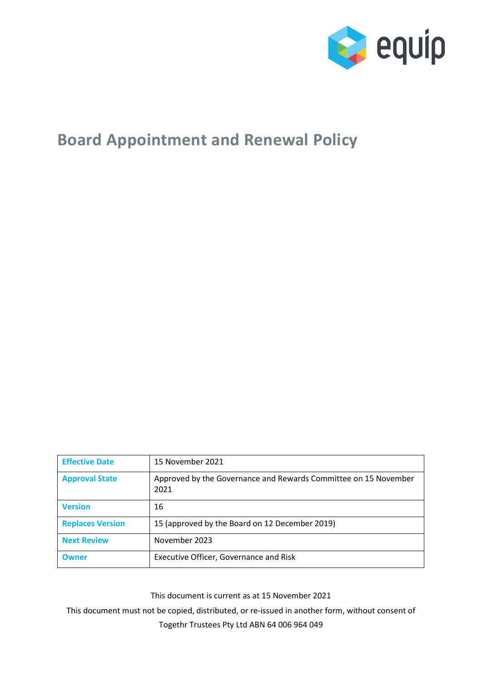

# **Board Appointment and Renewal Policy**

| <b>Effective Date</b>   | 15 November 2021                                                        |
|-------------------------|-------------------------------------------------------------------------|
| <b>Approval State</b>   | Approved by the Governance and Rewards Committee on 15 November<br>2021 |
| <b>Version</b>          | 16                                                                      |
| <b>Replaces Version</b> | 15 (approved by the Board on 12 December 2019)                          |
| <b>Next Review</b>      | November 2023                                                           |
| <b>Owner</b>            | Executive Officer, Governance and Risk                                  |

This document is current as at 15 November 2021

This document must not be copied, distributed, or re-issued in another form, without consent of Togethr Trustees Pty Ltd ABN 64 006 964 049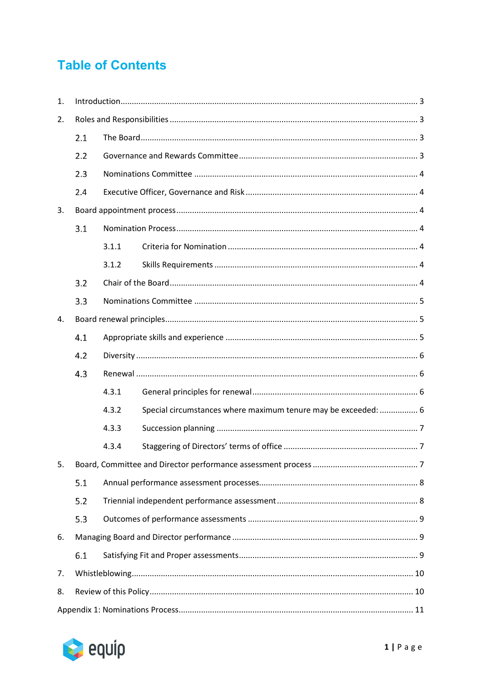# **Table of Contents**

| 1. |     |       |                                                                |  |  |
|----|-----|-------|----------------------------------------------------------------|--|--|
| 2. |     |       |                                                                |  |  |
|    | 2.1 |       |                                                                |  |  |
|    | 2.2 |       |                                                                |  |  |
|    | 2.3 |       |                                                                |  |  |
|    | 2.4 |       |                                                                |  |  |
| 3. |     |       |                                                                |  |  |
|    | 3.1 |       |                                                                |  |  |
|    |     | 3.1.1 |                                                                |  |  |
|    |     | 3.1.2 |                                                                |  |  |
|    | 3.2 |       |                                                                |  |  |
|    | 3.3 |       |                                                                |  |  |
| 4. |     |       |                                                                |  |  |
|    | 4.1 |       |                                                                |  |  |
|    | 4.2 |       |                                                                |  |  |
|    | 4.3 |       |                                                                |  |  |
|    |     | 4.3.1 |                                                                |  |  |
|    |     | 4.3.2 | Special circumstances where maximum tenure may be exceeded:  6 |  |  |
|    |     | 4.3.3 |                                                                |  |  |
|    |     | 4.3.4 |                                                                |  |  |
| 5. |     |       |                                                                |  |  |
|    | 5.1 |       |                                                                |  |  |
|    | 5.2 |       |                                                                |  |  |
|    | 5.3 |       |                                                                |  |  |
| 6. |     |       |                                                                |  |  |
|    | 6.1 |       |                                                                |  |  |
| 7. |     |       |                                                                |  |  |
| 8. |     |       |                                                                |  |  |
|    |     |       |                                                                |  |  |

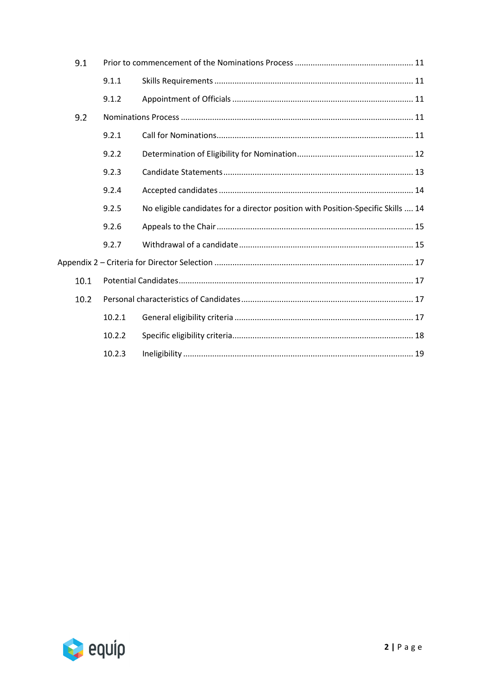| 9.1  |        |                                                                                  |  |  |
|------|--------|----------------------------------------------------------------------------------|--|--|
|      | 9.1.1  |                                                                                  |  |  |
|      | 9.1.2  |                                                                                  |  |  |
| 9.2  |        |                                                                                  |  |  |
|      | 9.2.1  |                                                                                  |  |  |
|      | 9.2.2  |                                                                                  |  |  |
|      | 9.2.3  |                                                                                  |  |  |
|      | 9.2.4  |                                                                                  |  |  |
|      | 9.2.5  | No eligible candidates for a director position with Position-Specific Skills  14 |  |  |
|      | 9.2.6  |                                                                                  |  |  |
|      | 9.2.7  |                                                                                  |  |  |
|      |        |                                                                                  |  |  |
| 10.1 |        |                                                                                  |  |  |
| 10.2 |        |                                                                                  |  |  |
|      | 10.2.1 |                                                                                  |  |  |
|      | 10.2.2 |                                                                                  |  |  |
|      | 10.2.3 |                                                                                  |  |  |

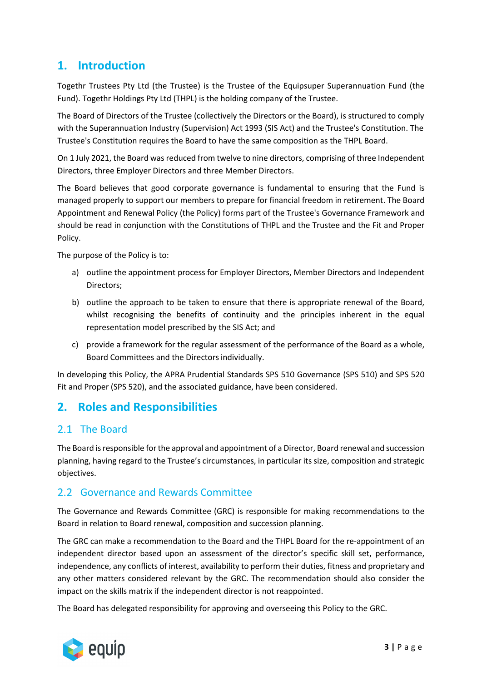## <span id="page-3-0"></span>**1. Introduction**

Togethr Trustees Pty Ltd (the Trustee) is the Trustee of the Equipsuper Superannuation Fund (the Fund). Togethr Holdings Pty Ltd (THPL) is the holding company of the Trustee.

The Board of Directors of the Trustee (collectively the Directors or the Board), is structured to comply with the Superannuation Industry (Supervision) Act 1993 (SIS Act) and the Trustee's Constitution. The Trustee's Constitution requires the Board to have the same composition as the THPL Board.

On 1 July 2021, the Board was reduced from twelve to nine directors, comprising of three Independent Directors, three Employer Directors and three Member Directors.

The Board believes that good corporate governance is fundamental to ensuring that the Fund is managed properly to support our members to prepare for financial freedom in retirement. The Board Appointment and Renewal Policy (the Policy) forms part of the Trustee's Governance Framework and should be read in conjunction with the Constitutions of THPL and the Trustee and the Fit and Proper Policy.

The purpose of the Policy is to:

- a) outline the appointment process for Employer Directors, Member Directors and Independent Directors;
- b) outline the approach to be taken to ensure that there is appropriate renewal of the Board, whilst recognising the benefits of continuity and the principles inherent in the equal representation model prescribed by the SIS Act; and
- c) provide a framework for the regular assessment of the performance of the Board as a whole, Board Committees and the Directors individually.

In developing this Policy, the APRA Prudential Standards SPS 510 Governance (SPS 510) and SPS 520 Fit and Proper (SPS 520), and the associated guidance, have been considered.

## <span id="page-3-1"></span>**2. Roles and Responsibilities**

## <span id="page-3-2"></span>2.1 The Board

The Board is responsible for the approval and appointment of a Director, Board renewal and succession planning, having regard to the Trustee's circumstances, in particular its size, composition and strategic objectives.

## <span id="page-3-3"></span>2.2 Governance and Rewards Committee

The Governance and Rewards Committee (GRC) is responsible for making recommendations to the Board in relation to Board renewal, composition and succession planning.

The GRC can make a recommendation to the Board and the THPL Board for the re-appointment of an independent director based upon an assessment of the director's specific skill set, performance, independence, any conflicts of interest, availability to perform their duties, fitness and proprietary and any other matters considered relevant by the GRC. The recommendation should also consider the impact on the skills matrix if the independent director is not reappointed.

The Board has delegated responsibility for approving and overseeing this Policy to the GRC.

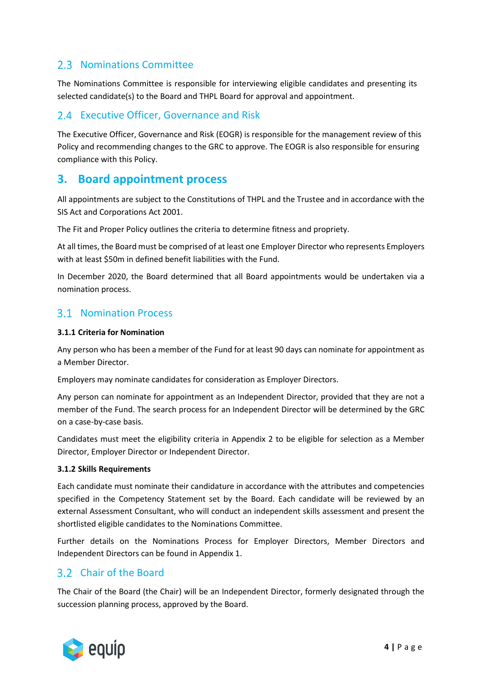## <span id="page-4-0"></span>2.3 Nominations Committee

The Nominations Committee is responsible for interviewing eligible candidates and presenting its selected candidate(s) to the Board and THPL Board for approval and appointment.

## <span id="page-4-1"></span>2.4 Executive Officer, Governance and Risk

The Executive Officer, Governance and Risk (EOGR) is responsible for the management review of this Policy and recommending changes to the GRC to approve. The EOGR is also responsible for ensuring compliance with this Policy.

## <span id="page-4-2"></span>**3. Board appointment process**

All appointments are subject to the Constitutions of THPL and the Trustee and in accordance with the SIS Act and Corporations Act 2001.

The Fit and Proper Policy outlines the criteria to determine fitness and propriety.

At all times, the Board must be comprised of at least one Employer Director who represents Employers with at least \$50m in defined benefit liabilities with the Fund.

In December 2020, the Board determined that all Board appointments would be undertaken via a nomination process.

## <span id="page-4-3"></span>**3.1 Nomination Process**

#### <span id="page-4-4"></span>**3.1.1 Criteria for Nomination**

Any person who has been a member of the Fund for at least 90 days can nominate for appointment as a Member Director.

Employers may nominate candidates for consideration as Employer Directors.

Any person can nominate for appointment as an Independent Director, provided that they are not a member of the Fund. The search process for an Independent Director will be determined by the GRC on a case-by-case basis.

Candidates must meet the eligibility criteria in Appendix 2 to be eligible for selection as a Member Director, Employer Director or Independent Director.

#### <span id="page-4-5"></span>**3.1.2 Skills Requirements**

Each candidate must nominate their candidature in accordance with the attributes and competencies specified in the Competency Statement set by the Board. Each candidate will be reviewed by an external Assessment Consultant, who will conduct an independent skills assessment and present the shortlisted eligible candidates to the Nominations Committee.

Further details on the Nominations Process for Employer Directors, Member Directors and Independent Directors can be found in Appendix 1.

## <span id="page-4-6"></span>Chair of the Board

The Chair of the Board (the Chair) will be an Independent Director, formerly designated through the succession planning process, approved by the Board.

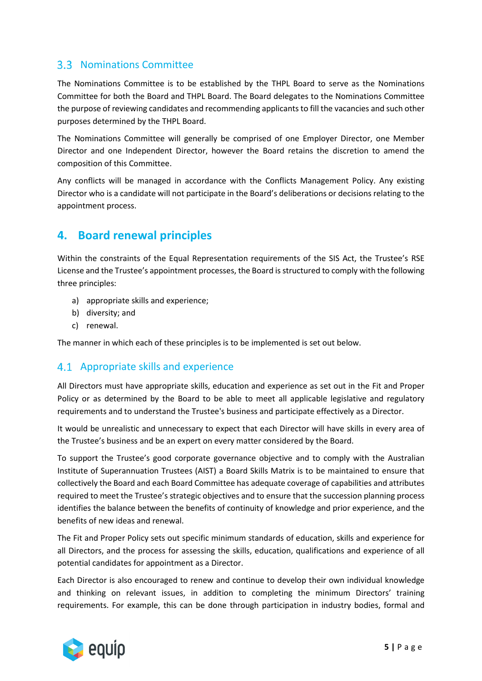## <span id="page-5-0"></span>**3.3 Nominations Committee**

The Nominations Committee is to be established by the THPL Board to serve as the Nominations Committee for both the Board and THPL Board. The Board delegates to the Nominations Committee the purpose of reviewing candidates and recommending applicants to fill the vacancies and such other purposes determined by the THPL Board.

The Nominations Committee will generally be comprised of one Employer Director, one Member Director and one Independent Director, however the Board retains the discretion to amend the composition of this Committee.

Any conflicts will be managed in accordance with the Conflicts Management Policy. Any existing Director who is a candidate will not participate in the Board's deliberations or decisions relating to the appointment process.

## <span id="page-5-1"></span>**4. Board renewal principles**

Within the constraints of the Equal Representation requirements of the SIS Act, the Trustee's RSE License and the Trustee's appointment processes, the Board is structured to comply with the following three principles:

- a) appropriate skills and experience;
- b) diversity; and
- c) renewal.

The manner in which each of these principles is to be implemented is set out below.

### <span id="page-5-2"></span>4.1 Appropriate skills and experience

All Directors must have appropriate skills, education and experience as set out in the Fit and Proper Policy or as determined by the Board to be able to meet all applicable legislative and regulatory requirements and to understand the Trustee's business and participate effectively as a Director.

It would be unrealistic and unnecessary to expect that each Director will have skills in every area of the Trustee's business and be an expert on every matter considered by the Board.

To support the Trustee's good corporate governance objective and to comply with the Australian Institute of Superannuation Trustees (AIST) a Board Skills Matrix is to be maintained to ensure that collectively the Board and each Board Committee has adequate coverage of capabilities and attributes required to meet the Trustee's strategic objectives and to ensure that the succession planning process identifies the balance between the benefits of continuity of knowledge and prior experience, and the benefits of new ideas and renewal.

The Fit and Proper Policy sets out specific minimum standards of education, skills and experience for all Directors, and the process for assessing the skills, education, qualifications and experience of all potential candidates for appointment as a Director.

Each Director is also encouraged to renew and continue to develop their own individual knowledge and thinking on relevant issues, in addition to completing the minimum Directors' training requirements. For example, this can be done through participation in industry bodies, formal and

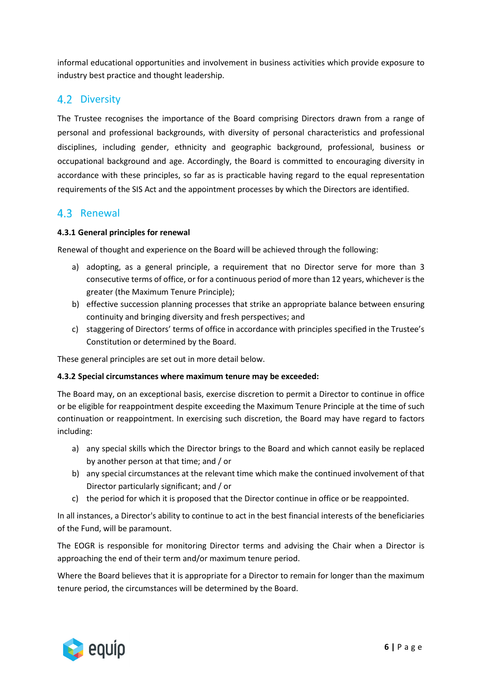informal educational opportunities and involvement in business activities which provide exposure to industry best practice and thought leadership.

### <span id="page-6-0"></span>4.2 Diversity

The Trustee recognises the importance of the Board comprising Directors drawn from a range of personal and professional backgrounds, with diversity of personal characteristics and professional disciplines, including gender, ethnicity and geographic background, professional, business or occupational background and age. Accordingly, the Board is committed to encouraging diversity in accordance with these principles, so far as is practicable having regard to the equal representation requirements of the SIS Act and the appointment processes by which the Directors are identified.

### <span id="page-6-1"></span>4.3 Renewal

#### <span id="page-6-2"></span>**4.3.1 General principles for renewal**

Renewal of thought and experience on the Board will be achieved through the following:

- a) adopting, as a general principle, a requirement that no Director serve for more than 3 consecutive terms of office, or for a continuous period of more than 12 years, whichever is the greater (the Maximum Tenure Principle);
- b) effective succession planning processes that strike an appropriate balance between ensuring continuity and bringing diversity and fresh perspectives; and
- c) staggering of Directors' terms of office in accordance with principles specified in the Trustee's Constitution or determined by the Board.

These general principles are set out in more detail below.

#### <span id="page-6-3"></span>**4.3.2 Special circumstances where maximum tenure may be exceeded:**

The Board may, on an exceptional basis, exercise discretion to permit a Director to continue in office or be eligible for reappointment despite exceeding the Maximum Tenure Principle at the time of such continuation or reappointment. In exercising such discretion, the Board may have regard to factors including:

- a) any special skills which the Director brings to the Board and which cannot easily be replaced by another person at that time; and / or
- b) any special circumstances at the relevant time which make the continued involvement of that Director particularly significant; and / or
- c) the period for which it is proposed that the Director continue in office or be reappointed.

In all instances, a Director's ability to continue to act in the best financial interests of the beneficiaries of the Fund, will be paramount.

The EOGR is responsible for monitoring Director terms and advising the Chair when a Director is approaching the end of their term and/or maximum tenure period.

Where the Board believes that it is appropriate for a Director to remain for longer than the maximum tenure period, the circumstances will be determined by the Board.

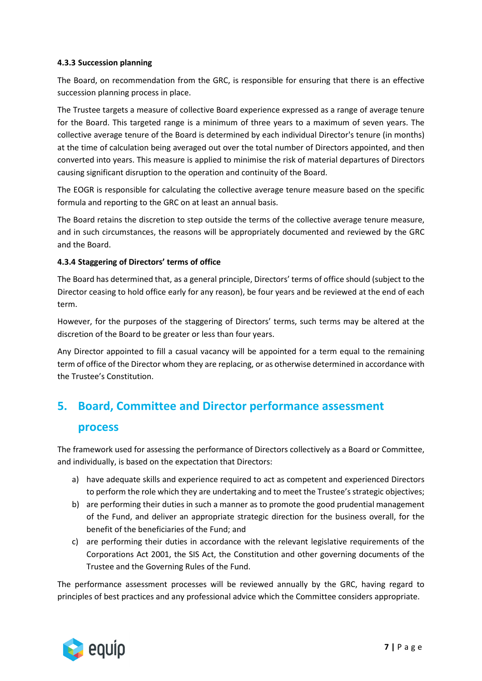#### <span id="page-7-0"></span>**4.3.3 Succession planning**

The Board, on recommendation from the GRC, is responsible for ensuring that there is an effective succession planning process in place.

The Trustee targets a measure of collective Board experience expressed as a range of average tenure for the Board. This targeted range is a minimum of three years to a maximum of seven years. The collective average tenure of the Board is determined by each individual Director's tenure (in months) at the time of calculation being averaged out over the total number of Directors appointed, and then converted into years. This measure is applied to minimise the risk of material departures of Directors causing significant disruption to the operation and continuity of the Board.

The EOGR is responsible for calculating the collective average tenure measure based on the specific formula and reporting to the GRC on at least an annual basis.

The Board retains the discretion to step outside the terms of the collective average tenure measure, and in such circumstances, the reasons will be appropriately documented and reviewed by the GRC and the Board.

#### <span id="page-7-1"></span>**4.3.4 Staggering of Directors' terms of office**

The Board has determined that, as a general principle, Directors' terms of office should (subject to the Director ceasing to hold office early for any reason), be four years and be reviewed at the end of each term.

However, for the purposes of the staggering of Directors' terms, such terms may be altered at the discretion of the Board to be greater or less than four years.

Any Director appointed to fill a casual vacancy will be appointed for a term equal to the remaining term of office of the Director whom they are replacing, or as otherwise determined in accordance with the Trustee's Constitution.

## <span id="page-7-2"></span>**5. Board, Committee and Director performance assessment**

### **process**

The framework used for assessing the performance of Directors collectively as a Board or Committee, and individually, is based on the expectation that Directors:

- a) have adequate skills and experience required to act as competent and experienced Directors to perform the role which they are undertaking and to meet the Trustee's strategic objectives;
- b) are performing their duties in such a manner as to promote the good prudential management of the Fund, and deliver an appropriate strategic direction for the business overall, for the benefit of the beneficiaries of the Fund; and
- c) are performing their duties in accordance with the relevant legislative requirements of the Corporations Act 2001, the SIS Act, the Constitution and other governing documents of the Trustee and the Governing Rules of the Fund.

The performance assessment processes will be reviewed annually by the GRC, having regard to principles of best practices and any professional advice which the Committee considers appropriate.

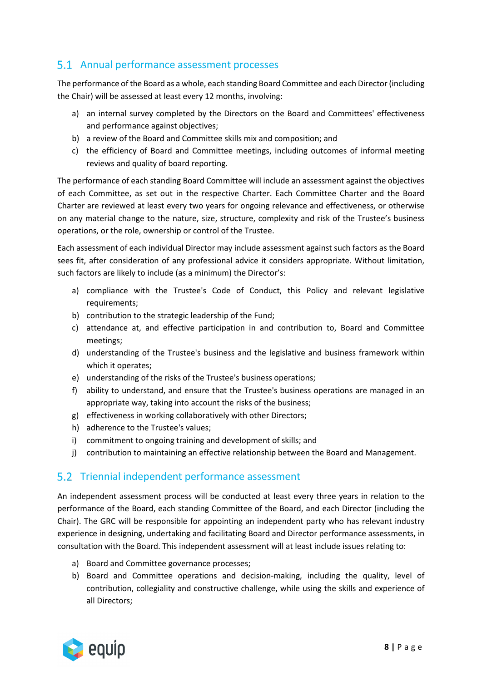## <span id="page-8-0"></span>5.1 Annual performance assessment processes

The performance of the Board as a whole, each standing Board Committee and each Director (including the Chair) will be assessed at least every 12 months, involving:

- a) an internal survey completed by the Directors on the Board and Committees' effectiveness and performance against objectives;
- b) a review of the Board and Committee skills mix and composition; and
- c) the efficiency of Board and Committee meetings, including outcomes of informal meeting reviews and quality of board reporting.

The performance of each standing Board Committee will include an assessment against the objectives of each Committee, as set out in the respective Charter. Each Committee Charter and the Board Charter are reviewed at least every two years for ongoing relevance and effectiveness, or otherwise on any material change to the nature, size, structure, complexity and risk of the Trustee's business operations, or the role, ownership or control of the Trustee.

Each assessment of each individual Director may include assessment against such factors as the Board sees fit, after consideration of any professional advice it considers appropriate. Without limitation, such factors are likely to include (as a minimum) the Director's:

- a) compliance with the Trustee's Code of Conduct, this Policy and relevant legislative requirements;
- b) contribution to the strategic leadership of the Fund;
- c) attendance at, and effective participation in and contribution to, Board and Committee meetings;
- d) understanding of the Trustee's business and the legislative and business framework within which it operates;
- e) understanding of the risks of the Trustee's business operations;
- f) ability to understand, and ensure that the Trustee's business operations are managed in an appropriate way, taking into account the risks of the business;
- g) effectiveness in working collaboratively with other Directors;
- h) adherence to the Trustee's values;
- i) commitment to ongoing training and development of skills; and
- j) contribution to maintaining an effective relationship between the Board and Management.

## <span id="page-8-1"></span>5.2 Triennial independent performance assessment

An independent assessment process will be conducted at least every three years in relation to the performance of the Board, each standing Committee of the Board, and each Director (including the Chair). The GRC will be responsible for appointing an independent party who has relevant industry experience in designing, undertaking and facilitating Board and Director performance assessments, in consultation with the Board. This independent assessment will at least include issues relating to:

- a) Board and Committee governance processes;
- b) Board and Committee operations and decision-making, including the quality, level of contribution, collegiality and constructive challenge, while using the skills and experience of all Directors;

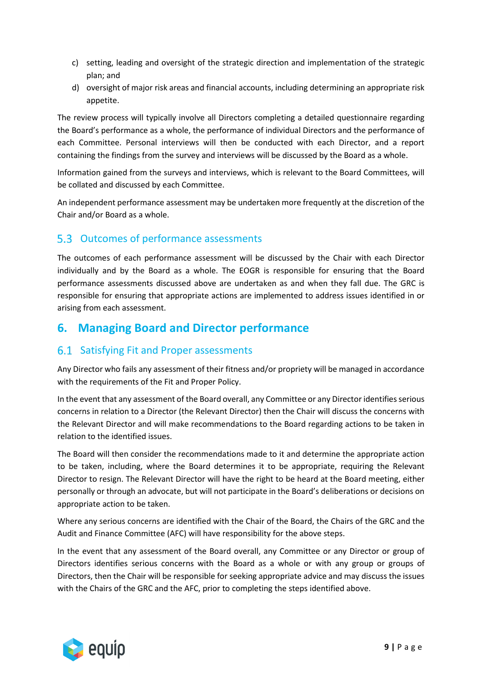- c) setting, leading and oversight of the strategic direction and implementation of the strategic plan; and
- d) oversight of major risk areas and financial accounts, including determining an appropriate risk appetite.

The review process will typically involve all Directors completing a detailed questionnaire regarding the Board's performance as a whole, the performance of individual Directors and the performance of each Committee. Personal interviews will then be conducted with each Director, and a report containing the findings from the survey and interviews will be discussed by the Board as a whole.

Information gained from the surveys and interviews, which is relevant to the Board Committees, will be collated and discussed by each Committee.

An independent performance assessment may be undertaken more frequently at the discretion of the Chair and/or Board as a whole.

## <span id="page-9-0"></span>5.3 Outcomes of performance assessments

The outcomes of each performance assessment will be discussed by the Chair with each Director individually and by the Board as a whole. The EOGR is responsible for ensuring that the Board performance assessments discussed above are undertaken as and when they fall due. The GRC is responsible for ensuring that appropriate actions are implemented to address issues identified in or arising from each assessment.

## <span id="page-9-1"></span>**6. Managing Board and Director performance**

## <span id="page-9-2"></span>6.1 Satisfying Fit and Proper assessments

Any Director who fails any assessment of their fitness and/or propriety will be managed in accordance with the requirements of the Fit and Proper Policy.

In the event that any assessment of the Board overall, any Committee or any Director identifies serious concerns in relation to a Director (the Relevant Director) then the Chair will discuss the concerns with the Relevant Director and will make recommendations to the Board regarding actions to be taken in relation to the identified issues.

The Board will then consider the recommendations made to it and determine the appropriate action to be taken, including, where the Board determines it to be appropriate, requiring the Relevant Director to resign. The Relevant Director will have the right to be heard at the Board meeting, either personally or through an advocate, but will not participate in the Board's deliberations or decisions on appropriate action to be taken.

Where any serious concerns are identified with the Chair of the Board, the Chairs of the GRC and the Audit and Finance Committee (AFC) will have responsibility for the above steps.

In the event that any assessment of the Board overall, any Committee or any Director or group of Directors identifies serious concerns with the Board as a whole or with any group or groups of Directors, then the Chair will be responsible for seeking appropriate advice and may discuss the issues with the Chairs of the GRC and the AFC, prior to completing the steps identified above.

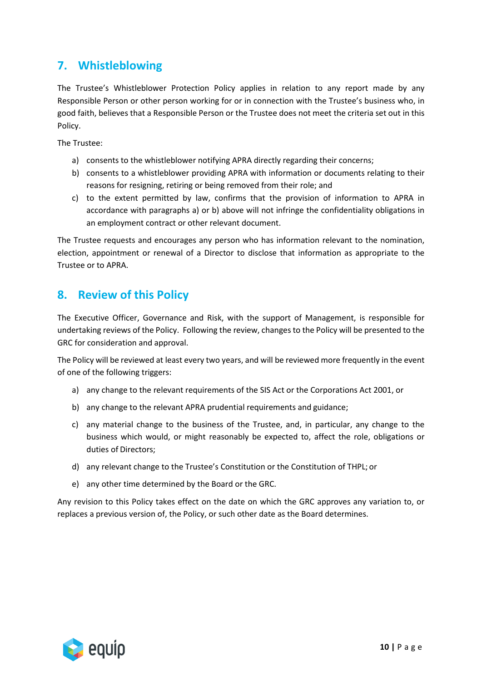## <span id="page-10-0"></span>**7. Whistleblowing**

The Trustee's Whistleblower Protection Policy applies in relation to any report made by any Responsible Person or other person working for or in connection with the Trustee's business who, in good faith, believes that a Responsible Person or the Trustee does not meet the criteria set out in this Policy.

The Trustee:

- a) consents to the whistleblower notifying APRA directly regarding their concerns;
- b) consents to a whistleblower providing APRA with information or documents relating to their reasons for resigning, retiring or being removed from their role; and
- c) to the extent permitted by law, confirms that the provision of information to APRA in accordance with paragraphs a) or b) above will not infringe the confidentiality obligations in an employment contract or other relevant document.

The Trustee requests and encourages any person who has information relevant to the nomination, election, appointment or renewal of a Director to disclose that information as appropriate to the Trustee or to APRA.

## <span id="page-10-1"></span>**8. Review of this Policy**

The Executive Officer, Governance and Risk, with the support of Management, is responsible for undertaking reviews of the Policy. Following the review, changes to the Policy will be presented to the GRC for consideration and approval.

The Policy will be reviewed at least every two years, and will be reviewed more frequently in the event of one of the following triggers:

- a) any change to the relevant requirements of the SIS Act or the Corporations Act 2001, or
- b) any change to the relevant APRA prudential requirements and guidance;
- c) any material change to the business of the Trustee, and, in particular, any change to the business which would, or might reasonably be expected to, affect the role, obligations or duties of Directors;
- d) any relevant change to the Trustee's Constitution or the Constitution of THPL; or
- e) any other time determined by the Board or the GRC.

Any revision to this Policy takes effect on the date on which the GRC approves any variation to, or replaces a previous version of, the Policy, or such other date as the Board determines.

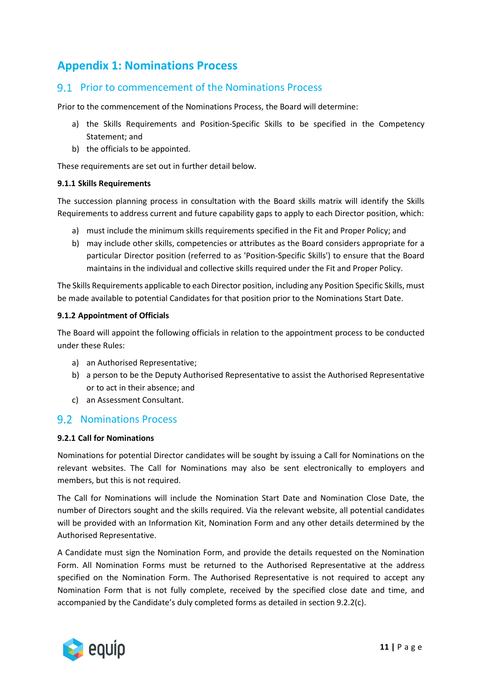## <span id="page-11-0"></span>**Appendix 1: Nominations Process**

### <span id="page-11-1"></span>Prior to commencement of the Nominations Process

Prior to the commencement of the Nominations Process, the Board will determine:

- a) the Skills Requirements and Position-Specific Skills to be specified in the Competency Statement; and
- b) the officials to be appointed.

These requirements are set out in further detail below.

#### <span id="page-11-2"></span>**9.1.1 Skills Requirements**

The succession planning process in consultation with the Board skills matrix will identify the Skills Requirements to address current and future capability gaps to apply to each Director position, which:

- a) must include the minimum skills requirements specified in the Fit and Proper Policy; and
- b) may include other skills, competencies or attributes as the Board considers appropriate for a particular Director position (referred to as 'Position-Specific Skills') to ensure that the Board maintains in the individual and collective skills required under the Fit and Proper Policy.

The Skills Requirements applicable to each Director position, including any Position Specific Skills, must be made available to potential Candidates for that position prior to the Nominations Start Date.

#### <span id="page-11-3"></span>**9.1.2 Appointment of Officials**

The Board will appoint the following officials in relation to the appointment process to be conducted under these Rules:

- a) an Authorised Representative;
- b) a person to be the Deputy Authorised Representative to assist the Authorised Representative or to act in their absence; and
- c) an Assessment Consultant.

### <span id="page-11-4"></span>**9.2 Nominations Process**

#### <span id="page-11-5"></span>**9.2.1 Call for Nominations**

Nominations for potential Director candidates will be sought by issuing a Call for Nominations on the relevant websites. The Call for Nominations may also be sent electronically to employers and members, but this is not required.

The Call for Nominations will include the Nomination Start Date and Nomination Close Date, the number of Directors sought and the skills required. Via the relevant website, all potential candidates will be provided with an Information Kit, Nomination Form and any other details determined by the Authorised Representative.

A Candidate must sign the Nomination Form, and provide the details requested on the Nomination Form. All Nomination Forms must be returned to the Authorised Representative at the address specified on the Nomination Form. The Authorised Representative is not required to accept any Nomination Form that is not fully complete, received by the specified close date and time, and accompanied by the Candidate's duly completed forms as detailed in section 9.2.2(c).

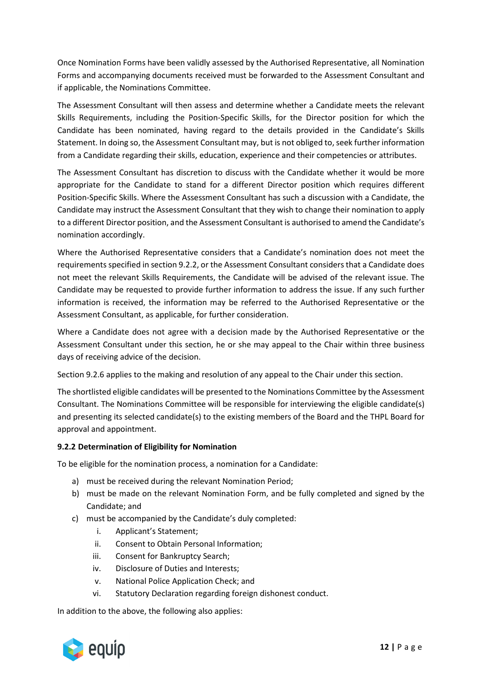Once Nomination Forms have been validly assessed by the Authorised Representative, all Nomination Forms and accompanying documents received must be forwarded to the Assessment Consultant and if applicable, the Nominations Committee.

The Assessment Consultant will then assess and determine whether a Candidate meets the relevant Skills Requirements, including the Position-Specific Skills, for the Director position for which the Candidate has been nominated, having regard to the details provided in the Candidate's Skills Statement. In doing so, the Assessment Consultant may, but is not obliged to, seek further information from a Candidate regarding their skills, education, experience and their competencies or attributes.

The Assessment Consultant has discretion to discuss with the Candidate whether it would be more appropriate for the Candidate to stand for a different Director position which requires different Position-Specific Skills. Where the Assessment Consultant has such a discussion with a Candidate, the Candidate may instruct the Assessment Consultant that they wish to change their nomination to apply to a different Director position, and the Assessment Consultant is authorised to amend the Candidate's nomination accordingly.

Where the Authorised Representative considers that a Candidate's nomination does not meet the requirements specified in section 9.2.2, or the Assessment Consultant considers that a Candidate does not meet the relevant Skills Requirements, the Candidate will be advised of the relevant issue. The Candidate may be requested to provide further information to address the issue. If any such further information is received, the information may be referred to the Authorised Representative or the Assessment Consultant, as applicable, for further consideration.

Where a Candidate does not agree with a decision made by the Authorised Representative or the Assessment Consultant under this section, he or she may appeal to the Chair within three business days of receiving advice of the decision.

Section 9.2.6 applies to the making and resolution of any appeal to the Chair under this section.

The shortlisted eligible candidates will be presented to the Nominations Committee by the Assessment Consultant. The Nominations Committee will be responsible for interviewing the eligible candidate(s) and presenting its selected candidate(s) to the existing members of the Board and the THPL Board for approval and appointment.

### <span id="page-12-0"></span>**9.2.2 Determination of Eligibility for Nomination**

To be eligible for the nomination process, a nomination for a Candidate:

- a) must be received during the relevant Nomination Period;
- b) must be made on the relevant Nomination Form, and be fully completed and signed by the Candidate; and
- c) must be accompanied by the Candidate's duly completed:
	- i. Applicant's Statement;
	- ii. Consent to Obtain Personal Information;
	- iii. Consent for Bankruptcy Search;
	- iv. Disclosure of Duties and Interests;
	- v. National Police Application Check; and
	- vi. Statutory Declaration regarding foreign dishonest conduct.

In addition to the above, the following also applies:

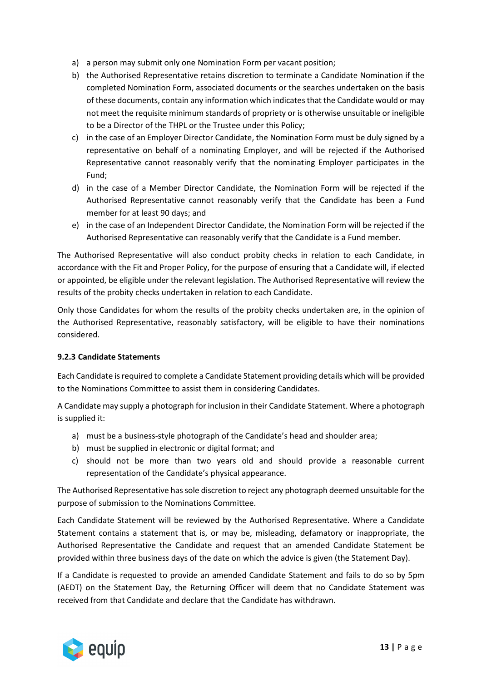- a) a person may submit only one Nomination Form per vacant position;
- b) the Authorised Representative retains discretion to terminate a Candidate Nomination if the completed Nomination Form, associated documents or the searches undertaken on the basis of these documents, contain any information which indicates that the Candidate would or may not meet the requisite minimum standards of propriety or is otherwise unsuitable or ineligible to be a Director of the THPL or the Trustee under this Policy;
- c) in the case of an Employer Director Candidate, the Nomination Form must be duly signed by a representative on behalf of a nominating Employer, and will be rejected if the Authorised Representative cannot reasonably verify that the nominating Employer participates in the Fund;
- d) in the case of a Member Director Candidate, the Nomination Form will be rejected if the Authorised Representative cannot reasonably verify that the Candidate has been a Fund member for at least 90 days; and
- e) in the case of an Independent Director Candidate, the Nomination Form will be rejected if the Authorised Representative can reasonably verify that the Candidate is a Fund member.

The Authorised Representative will also conduct probity checks in relation to each Candidate, in accordance with the Fit and Proper Policy, for the purpose of ensuring that a Candidate will, if elected or appointed, be eligible under the relevant legislation. The Authorised Representative will review the results of the probity checks undertaken in relation to each Candidate.

Only those Candidates for whom the results of the probity checks undertaken are, in the opinion of the Authorised Representative, reasonably satisfactory, will be eligible to have their nominations considered.

### <span id="page-13-0"></span>**9.2.3 Candidate Statements**

Each Candidate is required to complete a Candidate Statement providing details which will be provided to the Nominations Committee to assist them in considering Candidates.

A Candidate may supply a photograph for inclusion in their Candidate Statement. Where a photograph is supplied it:

- a) must be a business-style photograph of the Candidate's head and shoulder area;
- b) must be supplied in electronic or digital format; and
- c) should not be more than two years old and should provide a reasonable current representation of the Candidate's physical appearance.

The Authorised Representative has sole discretion to reject any photograph deemed unsuitable for the purpose of submission to the Nominations Committee.

Each Candidate Statement will be reviewed by the Authorised Representative. Where a Candidate Statement contains a statement that is, or may be, misleading, defamatory or inappropriate, the Authorised Representative the Candidate and request that an amended Candidate Statement be provided within three business days of the date on which the advice is given (the Statement Day).

If a Candidate is requested to provide an amended Candidate Statement and fails to do so by 5pm (AEDT) on the Statement Day, the Returning Officer will deem that no Candidate Statement was received from that Candidate and declare that the Candidate has withdrawn.

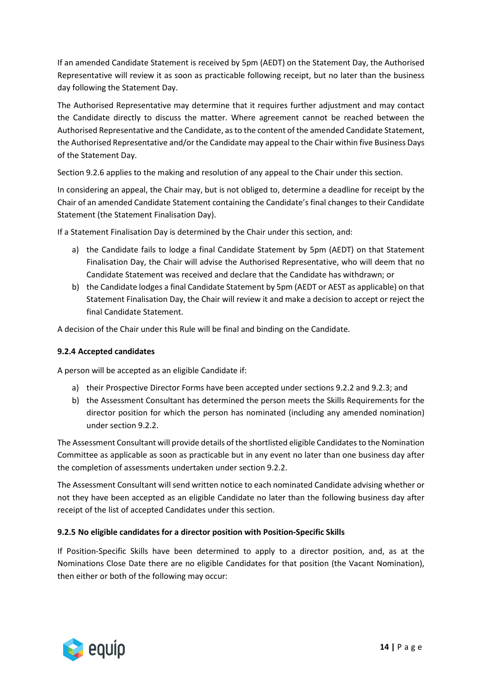If an amended Candidate Statement is received by 5pm (AEDT) on the Statement Day, the Authorised Representative will review it as soon as practicable following receipt, but no later than the business day following the Statement Day.

The Authorised Representative may determine that it requires further adjustment and may contact the Candidate directly to discuss the matter. Where agreement cannot be reached between the Authorised Representative and the Candidate, as to the content of the amended Candidate Statement, the Authorised Representative and/or the Candidate may appeal to the Chair within five Business Days of the Statement Day.

Section 9.2.6 applies to the making and resolution of any appeal to the Chair under this section.

In considering an appeal, the Chair may, but is not obliged to, determine a deadline for receipt by the Chair of an amended Candidate Statement containing the Candidate's final changes to their Candidate Statement (the Statement Finalisation Day).

If a Statement Finalisation Day is determined by the Chair under this section, and:

- a) the Candidate fails to lodge a final Candidate Statement by 5pm (AEDT) on that Statement Finalisation Day, the Chair will advise the Authorised Representative, who will deem that no Candidate Statement was received and declare that the Candidate has withdrawn; or
- b) the Candidate lodges a final Candidate Statement by 5pm (AEDT or AEST as applicable) on that Statement Finalisation Day, the Chair will review it and make a decision to accept or reject the final Candidate Statement.

A decision of the Chair under this Rule will be final and binding on the Candidate.

#### <span id="page-14-0"></span>**9.2.4 Accepted candidates**

A person will be accepted as an eligible Candidate if:

- a) their Prospective Director Forms have been accepted under sections 9.2.2 and 9.2.3; and
- b) the Assessment Consultant has determined the person meets the Skills Requirements for the director position for which the person has nominated (including any amended nomination) under section 9.2.2.

The Assessment Consultant will provide details of the shortlisted eligible Candidates to the Nomination Committee as applicable as soon as practicable but in any event no later than one business day after the completion of assessments undertaken under section 9.2.2.

The Assessment Consultant will send written notice to each nominated Candidate advising whether or not they have been accepted as an eligible Candidate no later than the following business day after receipt of the list of accepted Candidates under this section.

#### <span id="page-14-1"></span>**9.2.5 No eligible candidates for a director position with Position-Specific Skills**

If Position-Specific Skills have been determined to apply to a director position, and, as at the Nominations Close Date there are no eligible Candidates for that position (the Vacant Nomination), then either or both of the following may occur:

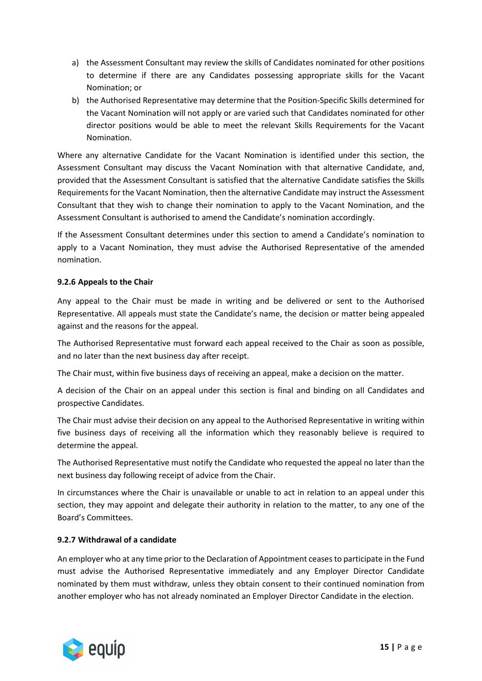- a) the Assessment Consultant may review the skills of Candidates nominated for other positions to determine if there are any Candidates possessing appropriate skills for the Vacant Nomination; or
- b) the Authorised Representative may determine that the Position-Specific Skills determined for the Vacant Nomination will not apply or are varied such that Candidates nominated for other director positions would be able to meet the relevant Skills Requirements for the Vacant Nomination.

Where any alternative Candidate for the Vacant Nomination is identified under this section, the Assessment Consultant may discuss the Vacant Nomination with that alternative Candidate, and, provided that the Assessment Consultant is satisfied that the alternative Candidate satisfies the Skills Requirements for the Vacant Nomination, then the alternative Candidate may instruct the Assessment Consultant that they wish to change their nomination to apply to the Vacant Nomination, and the Assessment Consultant is authorised to amend the Candidate's nomination accordingly.

If the Assessment Consultant determines under this section to amend a Candidate's nomination to apply to a Vacant Nomination, they must advise the Authorised Representative of the amended nomination.

### <span id="page-15-0"></span>**9.2.6 Appeals to the Chair**

Any appeal to the Chair must be made in writing and be delivered or sent to the Authorised Representative. All appeals must state the Candidate's name, the decision or matter being appealed against and the reasons for the appeal.

The Authorised Representative must forward each appeal received to the Chair as soon as possible, and no later than the next business day after receipt.

The Chair must, within five business days of receiving an appeal, make a decision on the matter.

A decision of the Chair on an appeal under this section is final and binding on all Candidates and prospective Candidates.

The Chair must advise their decision on any appeal to the Authorised Representative in writing within five business days of receiving all the information which they reasonably believe is required to determine the appeal.

The Authorised Representative must notify the Candidate who requested the appeal no later than the next business day following receipt of advice from the Chair.

In circumstances where the Chair is unavailable or unable to act in relation to an appeal under this section, they may appoint and delegate their authority in relation to the matter, to any one of the Board's Committees.

#### <span id="page-15-1"></span>**9.2.7 Withdrawal of a candidate**

An employer who at any time prior to the Declaration of Appointment ceases to participate in the Fund must advise the Authorised Representative immediately and any Employer Director Candidate nominated by them must withdraw, unless they obtain consent to their continued nomination from another employer who has not already nominated an Employer Director Candidate in the election.

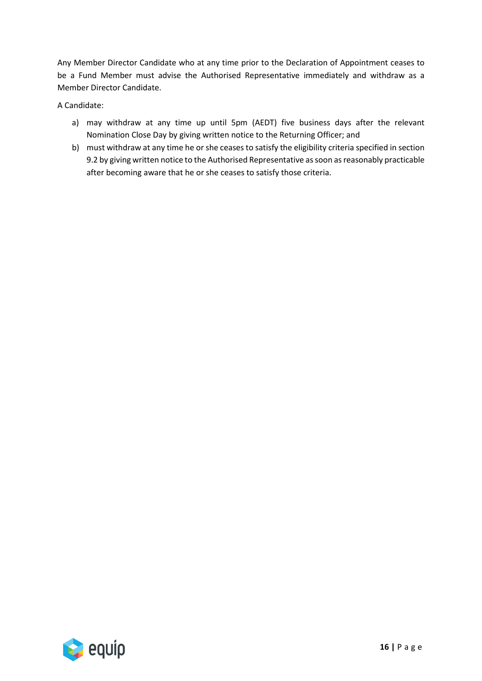Any Member Director Candidate who at any time prior to the Declaration of Appointment ceases to be a Fund Member must advise the Authorised Representative immediately and withdraw as a Member Director Candidate.

A Candidate:

- a) may withdraw at any time up until 5pm (AEDT) five business days after the relevant Nomination Close Day by giving written notice to the Returning Officer; and
- b) must withdraw at any time he or she ceases to satisfy the eligibility criteria specified in section 9.2 by giving written notice to the Authorised Representative as soon as reasonably practicable after becoming aware that he or she ceases to satisfy those criteria.

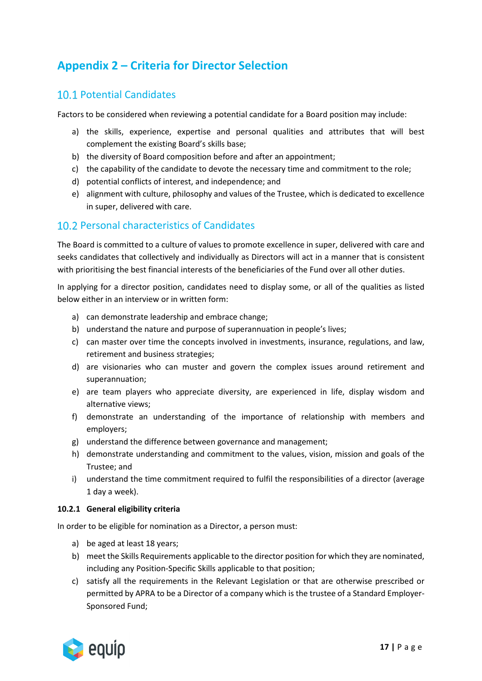## <span id="page-17-0"></span>**Appendix 2 – Criteria for Director Selection**

## <span id="page-17-1"></span>10.1 Potential Candidates

Factors to be considered when reviewing a potential candidate for a Board position may include:

- a) the skills, experience, expertise and personal qualities and attributes that will best complement the existing Board's skills base;
- b) the diversity of Board composition before and after an appointment;
- c) the capability of the candidate to devote the necessary time and commitment to the role;
- d) potential conflicts of interest, and independence; and
- e) alignment with culture, philosophy and values of the Trustee, which is dedicated to excellence in super, delivered with care.

## <span id="page-17-2"></span>10.2 Personal characteristics of Candidates

The Board is committed to a culture of values to promote excellence in super, delivered with care and seeks candidates that collectively and individually as Directors will act in a manner that is consistent with prioritising the best financial interests of the beneficiaries of the Fund over all other duties.

In applying for a director position, candidates need to display some, or all of the qualities as listed below either in an interview or in written form:

- a) can demonstrate leadership and embrace change;
- b) understand the nature and purpose of superannuation in people's lives;
- c) can master over time the concepts involved in investments, insurance, regulations, and law, retirement and business strategies;
- d) are visionaries who can muster and govern the complex issues around retirement and superannuation;
- e) are team players who appreciate diversity, are experienced in life, display wisdom and alternative views;
- f) demonstrate an understanding of the importance of relationship with members and employers;
- g) understand the difference between governance and management;
- h) demonstrate understanding and commitment to the values, vision, mission and goals of the Trustee; and
- i) understand the time commitment required to fulfil the responsibilities of a director (average 1 day a week).

#### <span id="page-17-3"></span>**10.2.1 General eligibility criteria**

In order to be eligible for nomination as a Director, a person must:

- a) be aged at least 18 years;
- b) meet the Skills Requirements applicable to the director position for which they are nominated, including any Position-Specific Skills applicable to that position;
- c) satisfy all the requirements in the Relevant Legislation or that are otherwise prescribed or permitted by APRA to be a Director of a company which is the trustee of a Standard Employer-Sponsored Fund;

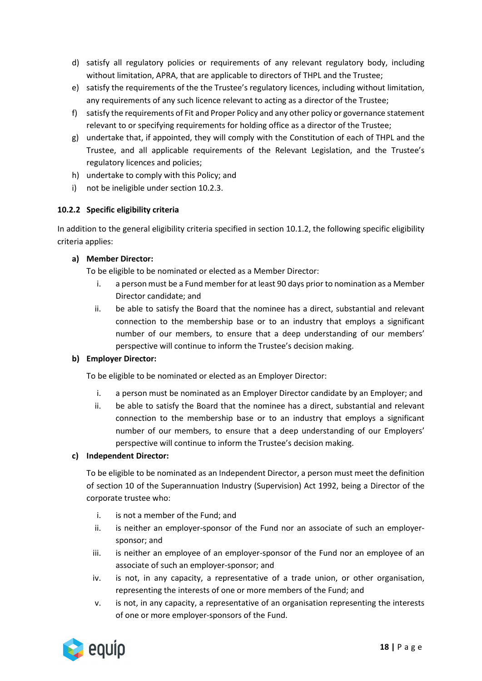- d) satisfy all regulatory policies or requirements of any relevant regulatory body, including without limitation, APRA, that are applicable to directors of THPL and the Trustee;
- e) satisfy the requirements of the the Trustee's regulatory licences, including without limitation, any requirements of any such licence relevant to acting as a director of the Trustee;
- f) satisfy the requirements of Fit and Proper Policy and any other policy or governance statement relevant to or specifying requirements for holding office as a director of the Trustee;
- g) undertake that, if appointed, they will comply with the Constitution of each of THPL and the Trustee, and all applicable requirements of the Relevant Legislation, and the Trustee's regulatory licences and policies;
- h) undertake to comply with this Policy; and
- i) not be ineligible under section 10.2.3.

#### <span id="page-18-0"></span>**10.2.2 Specific eligibility criteria**

In addition to the general eligibility criteria specified in section 10.1.2, the following specific eligibility criteria applies:

#### **a) Member Director:**

To be eligible to be nominated or elected as a Member Director:

- i. a person must be a Fund member for at least 90 days prior to nomination as a Member Director candidate; and
- ii. be able to satisfy the Board that the nominee has a direct, substantial and relevant connection to the membership base or to an industry that employs a significant number of our members, to ensure that a deep understanding of our members' perspective will continue to inform the Trustee's decision making.

### **b) Employer Director:**

To be eligible to be nominated or elected as an Employer Director:

- i. a person must be nominated as an Employer Director candidate by an Employer; and
- ii. be able to satisfy the Board that the nominee has a direct, substantial and relevant connection to the membership base or to an industry that employs a significant number of our members, to ensure that a deep understanding of our Employers' perspective will continue to inform the Trustee's decision making.

#### **c) Independent Director:**

To be eligible to be nominated as an Independent Director, a person must meet the definition of section 10 of the Superannuation Industry (Supervision) Act 1992, being a Director of the corporate trustee who:

- i. is not a member of the Fund; and
- ii. is neither an employer-sponsor of the Fund nor an associate of such an employersponsor; and
- iii. is neither an employee of an employer-sponsor of the Fund nor an employee of an associate of such an employer-sponsor; and
- iv. is not, in any capacity, a representative of a trade union, or other organisation, representing the interests of one or more members of the Fund; and
- v. is not, in any capacity, a representative of an organisation representing the interests of one or more employer-sponsors of the Fund.

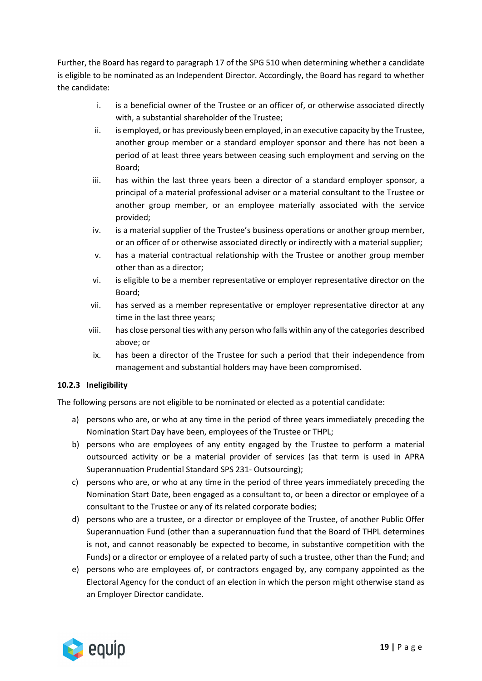Further, the Board has regard to paragraph 17 of the SPG 510 when determining whether a candidate is eligible to be nominated as an Independent Director. Accordingly, the Board has regard to whether the candidate:

- i. is a beneficial owner of the Trustee or an officer of, or otherwise associated directly with, a substantial shareholder of the Trustee;
- ii. is employed, or has previously been employed, in an executive capacity by the Trustee, another group member or a standard employer sponsor and there has not been a period of at least three years between ceasing such employment and serving on the Board;
- iii. has within the last three years been a director of a standard employer sponsor, a principal of a material professional adviser or a material consultant to the Trustee or another group member, or an employee materially associated with the service provided;
- iv. is a material supplier of the Trustee's business operations or another group member, or an officer of or otherwise associated directly or indirectly with a material supplier;
- v. has a material contractual relationship with the Trustee or another group member other than as a director;
- vi. is eligible to be a member representative or employer representative director on the Board;
- vii. has served as a member representative or employer representative director at any time in the last three years;
- viii. has close personal ties with any person who falls within any of the categories described above; or
- ix. has been a director of the Trustee for such a period that their independence from management and substantial holders may have been compromised.

### <span id="page-19-0"></span>**10.2.3 Ineligibility**

The following persons are not eligible to be nominated or elected as a potential candidate:

- a) persons who are, or who at any time in the period of three years immediately preceding the Nomination Start Day have been, employees of the Trustee or THPL;
- b) persons who are employees of any entity engaged by the Trustee to perform a material outsourced activity or be a material provider of services (as that term is used in APRA Superannuation Prudential Standard SPS 231- Outsourcing);
- c) persons who are, or who at any time in the period of three years immediately preceding the Nomination Start Date, been engaged as a consultant to, or been a director or employee of a consultant to the Trustee or any of its related corporate bodies;
- d) persons who are a trustee, or a director or employee of the Trustee, of another Public Offer Superannuation Fund (other than a superannuation fund that the Board of THPL determines is not, and cannot reasonably be expected to become, in substantive competition with the Funds) or a director or employee of a related party of such a trustee, other than the Fund; and
- e) persons who are employees of, or contractors engaged by, any company appointed as the Electoral Agency for the conduct of an election in which the person might otherwise stand as an Employer Director candidate.